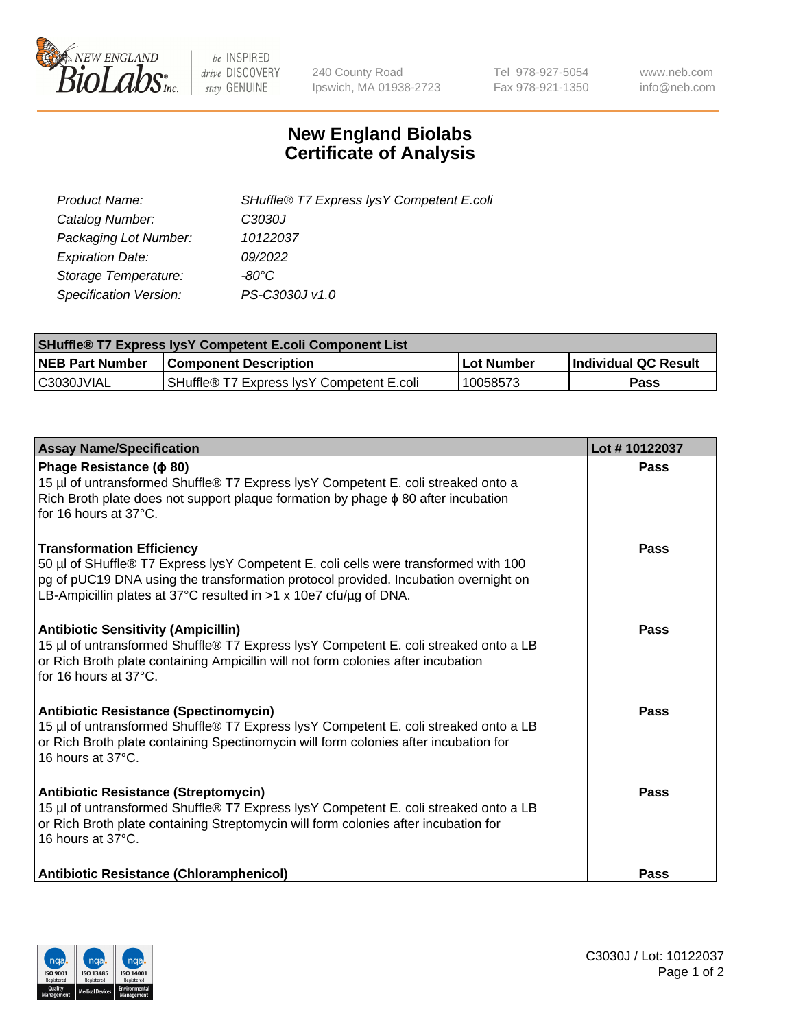

 $be$  INSPIRED drive DISCOVERY stay GENUINE

240 County Road Ipswich, MA 01938-2723 Tel 978-927-5054 Fax 978-921-1350 www.neb.com info@neb.com

## **New England Biolabs Certificate of Analysis**

| SHuffle® T7 Express lysY Competent E.coli |
|-------------------------------------------|
| C3030J                                    |
| 10122037                                  |
| 09/2022                                   |
| -80°C                                     |
| PS-C3030J v1.0                            |
|                                           |

| <b>SHuffle® T7 Express lysY Competent E.coli Component List</b> |                                           |                   |                             |  |
|-----------------------------------------------------------------|-------------------------------------------|-------------------|-----------------------------|--|
| <b>NEB Part Number</b>                                          | <b>Component Description</b>              | <b>Lot Number</b> | <b>Individual QC Result</b> |  |
| C3030JVIAL                                                      | SHuffle® T7 Express IysY Competent E.coli | 10058573          | Pass                        |  |

| <b>Assay Name/Specification</b>                                                                                                                                                                                                                                                     | Lot #10122037 |
|-------------------------------------------------------------------------------------------------------------------------------------------------------------------------------------------------------------------------------------------------------------------------------------|---------------|
| Phage Resistance ( $\phi$ 80)<br>15 µl of untransformed Shuffle® T7 Express lysY Competent E. coli streaked onto a<br>Rich Broth plate does not support plaque formation by phage $\phi$ 80 after incubation<br>for 16 hours at 37°C.                                               | Pass          |
| <b>Transformation Efficiency</b><br>50 µl of SHuffle® T7 Express lysY Competent E. coli cells were transformed with 100<br>pg of pUC19 DNA using the transformation protocol provided. Incubation overnight on<br>LB-Ampicillin plates at 37°C resulted in >1 x 10e7 cfu/µg of DNA. | Pass          |
| <b>Antibiotic Sensitivity (Ampicillin)</b><br>15 µl of untransformed Shuffle® T7 Express lysY Competent E. coli streaked onto a LB<br>or Rich Broth plate containing Ampicillin will not form colonies after incubation<br>for 16 hours at 37°C.                                    | Pass          |
| Antibiotic Resistance (Spectinomycin)<br>15 µl of untransformed Shuffle® T7 Express lysY Competent E. coli streaked onto a LB<br>or Rich Broth plate containing Spectinomycin will form colonies after incubation for<br>16 hours at 37°C.                                          | Pass          |
| <b>Antibiotic Resistance (Streptomycin)</b><br>15 µl of untransformed Shuffle® T7 Express lysY Competent E. coli streaked onto a LB<br>or Rich Broth plate containing Streptomycin will form colonies after incubation for<br>16 hours at $37^{\circ}$ C.                           | Pass          |
| Antibiotic Resistance (Chloramphenicol)                                                                                                                                                                                                                                             | <b>Pass</b>   |